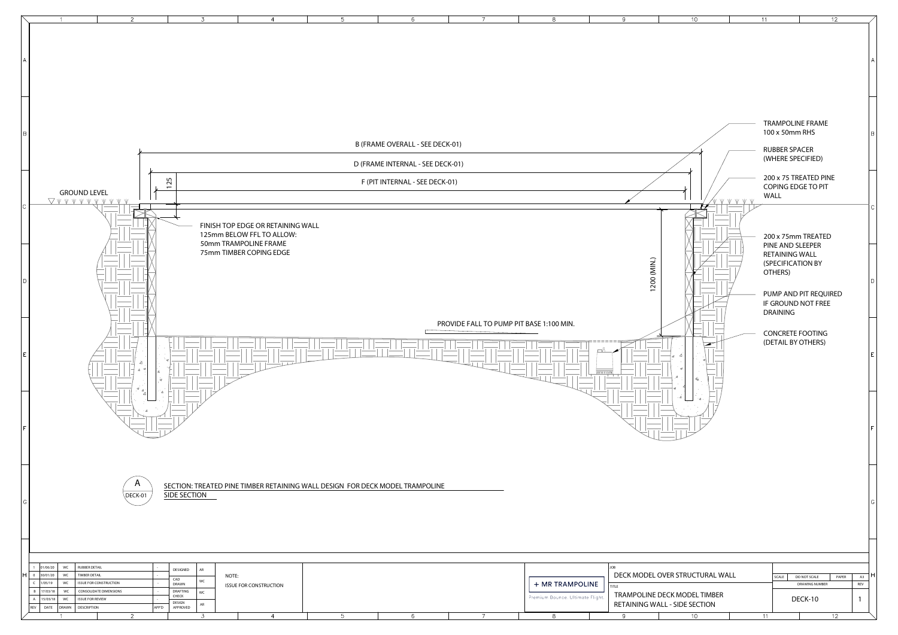